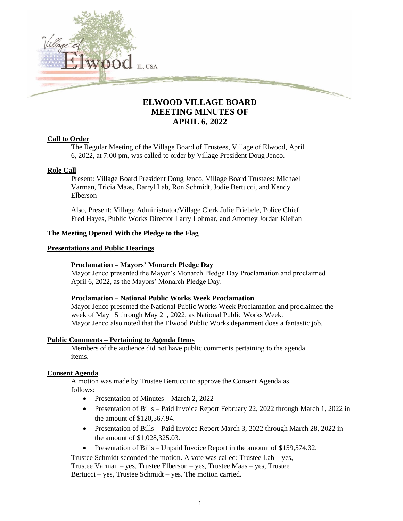

# **ELWOOD VILLAGE BOARD MEETING MINUTES OF APRIL 6, 2022**

## **Call to Order**

The Regular Meeting of the Village Board of Trustees, Village of Elwood, April 6, 2022, at 7:00 pm, was called to order by Village President Doug Jenco.

## **Role Call**

Present: Village Board President Doug Jenco, Village Board Trustees: Michael Varman, Tricia Maas, Darryl Lab, Ron Schmidt, Jodie Bertucci, and Kendy Elberson

Also, Present: Village Administrator/Village Clerk Julie Friebele, Police Chief Fred Hayes, Public Works Director Larry Lohmar, and Attorney Jordan Kielian

## **The Meeting Opened With the Pledge to the Flag**

## **Presentations and Public Hearings**

## **Proclamation – Mayors' Monarch Pledge Day**

Mayor Jenco presented the Mayor's Monarch Pledge Day Proclamation and proclaimed April 6, 2022, as the Mayors' Monarch Pledge Day.

## **Proclamation – National Public Works Week Proclamation**

Mayor Jenco presented the National Public Works Week Proclamation and proclaimed the week of May 15 through May 21, 2022, as National Public Works Week. Mayor Jenco also noted that the Elwood Public Works department does a fantastic job.

## **Public Comments – Pertaining to Agenda Items**

Members of the audience did not have public comments pertaining to the agenda items.

## **Consent Agenda**

A motion was made by Trustee Bertucci to approve the Consent Agenda as follows:

- Presentation of Minutes March 2, 2022
- Presentation of Bills Paid Invoice Report February 22, 2022 through March 1, 2022 in the amount of \$120,567.94.
- Presentation of Bills Paid Invoice Report March 3, 2022 through March 28, 2022 in the amount of \$1,028,325.03.
- Presentation of Bills Unpaid Invoice Report in the amount of \$159,574.32.

Trustee Schmidt seconded the motion. A vote was called: Trustee Lab – yes, Trustee Varman – yes, Trustee Elberson – yes, Trustee Maas – yes, Trustee Bertucci – yes, Trustee Schmidt – yes. The motion carried.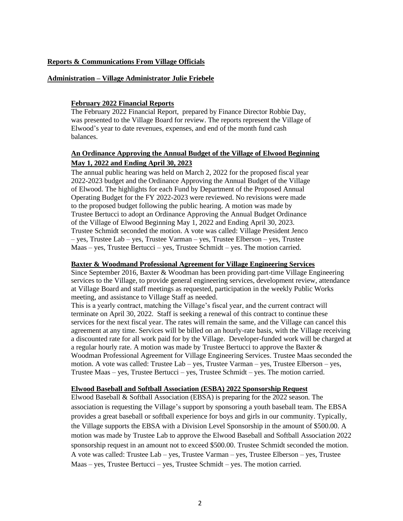### **Reports & Communications From Village Officials**

#### **Administration – Village Administrator Julie Friebele**

### **February 2022 Financial Reports**

The February 2022 Financial Report, prepared by Finance Director Robbie Day, was presented to the Village Board for review. The reports represent the Village of Elwood's year to date revenues, expenses, and end of the month fund cash balances.

## **An Ordinance Approving the Annual Budget of the Village of Elwood Beginning May 1, 2022 and Ending April 30, 2023**

The annual public hearing was held on March 2, 2022 for the proposed fiscal year 2022-2023 budget and the Ordinance Approving the Annual Budget of the Village of Elwood. The highlights for each Fund by Department of the Proposed Annual Operating Budget for the FY 2022-2023 were reviewed. No revisions were made to the proposed budget following the public hearing. A motion was made by Trustee Bertucci to adopt an Ordinance Approving the Annual Budget Ordinance of the Village of Elwood Beginning May 1, 2022 and Ending April 30, 2023. Trustee Schmidt seconded the motion. A vote was called: Village President Jenco – yes, Trustee Lab – yes, Trustee Varman – yes, Trustee Elberson – yes, Trustee Maas – yes, Trustee Bertucci – yes, Trustee Schmidt – yes. The motion carried.

#### **Baxter & Woodmand Professional Agreement for Village Engineering Services**

Since September 2016, Baxter & Woodman has been providing part-time Village Engineering services to the Village, to provide general engineering services, development review, attendance at Village Board and staff meetings as requested, participation in the weekly Public Works meeting, and assistance to Village Staff as needed.

This is a yearly contract, matching the Village's fiscal year, and the current contract will terminate on April 30, 2022. Staff is seeking a renewal of this contract to continue these services for the next fiscal year. The rates will remain the same, and the Village can cancel this agreement at any time. Services will be billed on an hourly-rate basis, with the Village receiving a discounted rate for all work paid for by the Village. Developer-funded work will be charged at a regular hourly rate. A motion was made by Trustee Bertucci to approve the Baxter & Woodman Professional Agreement for Village Engineering Services. Trustee Maas seconded the motion. A vote was called: Trustee Lab – yes, Trustee Varman – yes, Trustee Elberson – yes, Trustee Maas – yes, Trustee Bertucci – yes, Trustee Schmidt – yes. The motion carried.

#### **Elwood Baseball and Softball Association (ESBA) 2022 Sponsorship Request**

Elwood Baseball & Softball Association (EBSA) is preparing for the 2022 season. The association is requesting the Village's support by sponsoring a youth baseball team. The EBSA provides a great baseball or softball experience for boys and girls in our community. Typically, the Village supports the EBSA with a Division Level Sponsorship in the amount of \$500.00. A motion was made by Trustee Lab to approve the Elwood Baseball and Softball Association 2022 sponsorship request in an amount not to exceed \$500.00. Trustee Schmidt seconded the motion. A vote was called: Trustee Lab – yes, Trustee Varman – yes, Trustee Elberson – yes, Trustee Maas – yes, Trustee Bertucci – yes, Trustee Schmidt – yes. The motion carried.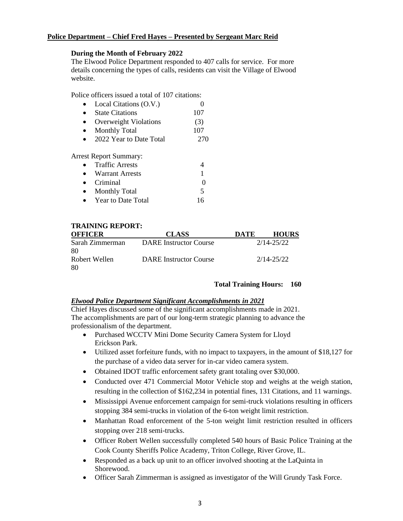## **Police Department – Chief Fred Hayes – Presented by Sergeant Marc Reid**

### **During the Month of February 2022**

The Elwood Police Department responded to 407 calls for service. For more details concerning the types of calls, residents can visit the Village of Elwood website.

Police officers issued a total of 107 citations:

| $\bullet$ | Local Citations (O.V.)       |     |
|-----------|------------------------------|-----|
| $\bullet$ | <b>State Citations</b>       | 107 |
| $\bullet$ | <b>Overweight Violations</b> | (3) |
| $\bullet$ | <b>Monthly Total</b>         | 107 |
| $\bullet$ | 2022 Year to Date Total      | 270 |
|           |                              |     |

Arrest Report Summary:

| $\bullet$ | <b>Traffic Arrests</b> |    |
|-----------|------------------------|----|
|           | <b>Warrant Arrests</b> |    |
| $\bullet$ | Criminal               |    |
|           | <b>Monthly Total</b>   | ↖  |
|           | Year to Date Total     | 16 |

## **TRAINING REPORT:**

| <b>OFFICER</b>  | <b>CLASS</b>                  | DATE | <b>HOURS</b> |
|-----------------|-------------------------------|------|--------------|
| Sarah Zimmerman | <b>DARE</b> Instructor Course |      | 2/14-25/22   |
| -80             |                               |      |              |
| Robert Wellen   | <b>DARE</b> Instructor Course |      | 2/14-25/22   |
| -80             |                               |      |              |

## **Total Training Hours: 160**

### *Elwood Police Department Significant Accomplishments in 2021*

Chief Hayes discussed some of the significant accomplishments made in 2021. The accomplishments are part of our long-term strategic planning to advance the professionalism of the department.

- Purchased WCCTV Mini Dome Security Camera System for Lloyd Erickson Park.
- Utilized asset for feiture funds, with no impact to taxpayers, in the amount of \$18,127 for the purchase of a video data server for in-car video camera system.
- Obtained IDOT traffic enforcement safety grant totaling over \$30,000.
- Conducted over 471 Commercial Motor Vehicle stop and weighs at the weigh station, resulting in the collection of \$162,234 in potential fines, 131 Citations, and 11 warnings.
- Mississippi Avenue enforcement campaign for semi-truck violations resulting in officers stopping 384 semi-trucks in violation of the 6-ton weight limit restriction.
- Manhattan Road enforcement of the 5-ton weight limit restriction resulted in officers stopping over 218 semi-trucks.
- Officer Robert Wellen successfully completed 540 hours of Basic Police Training at the Cook County Sheriffs Police Academy, Triton College, River Grove, IL.
- Responded as a back up unit to an officer involved shooting at the LaQuinta in Shorewood.
- Officer Sarah Zimmerman is assigned as investigator of the Will Grundy Task Force.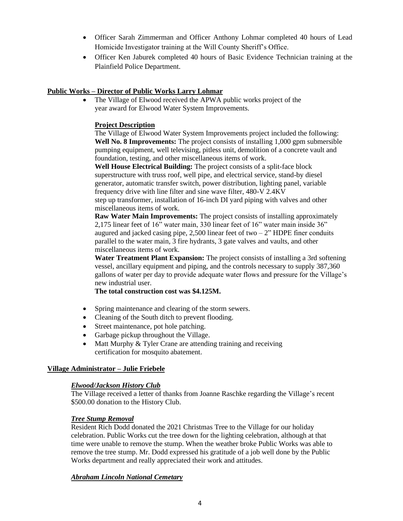- Officer Sarah Zimmerman and Officer Anthony Lohmar completed 40 hours of Lead Homicide Investigator training at the Will County Sheriff's Office.
- Officer Ken Jaburek completed 40 hours of Basic Evidence Technician training at the Plainfield Police Department.

## **Public Works – Director of Public Works Larry Lohmar**

The Village of Elwood received the APWA public works project of the year award for Elwood Water System Improvements.

## **Project Description**

The Village of Elwood Water System Improvements project included the following: **Well No. 8 Improvements:** The project consists of installing 1,000 gpm submersible pumping equipment, well televising, pitless unit, demolition of a concrete vault and foundation, testing, and other miscellaneous items of work.

**Well House Electrical Building:** The project consists of a split-face block superstructure with truss roof, well pipe, and electrical service, stand-by diesel generator, automatic transfer switch, power distribution, lighting panel, variable frequency drive with line filter and sine wave filter, 480-V 2.4KV

step up transformer, installation of 16-inch DI yard piping with valves and other miscellaneous items of work.

**Raw Water Main Improvements:** The project consists of installing approximately 2,175 linear feet of 16" water main, 330 linear feet of 16" water main inside 36" augured and jacked casing pipe, 2,500 linear feet of two  $-2$ " HDPE finer conduits parallel to the water main, 3 fire hydrants, 3 gate valves and vaults, and other miscellaneous items of work.

**Water Treatment Plant Expansion:** The project consists of installing a 3rd softening vessel, ancillary equipment and piping, and the controls necessary to supply 387,360 gallons of water per day to provide adequate water flows and pressure for the Village's new industrial user.

**The total construction cost was \$4.125M.**

- Spring maintenance and clearing of the storm sewers.
- Cleaning of the South ditch to prevent flooding.
- Street maintenance, pot hole patching.
- Garbage pickup throughout the Village.
- Matt Murphy & Tyler Crane are attending training and receiving certification for mosquito abatement.

## **Village Administrator – Julie Friebele**

## *Elwood/Jackson History Club*

The Village received a letter of thanks from Joanne Raschke regarding the Village's recent \$500.00 donation to the History Club.

## *Tree Stump Removal*

Resident Rich Dodd donated the 2021 Christmas Tree to the Village for our holiday celebration. Public Works cut the tree down for the lighting celebration, although at that time were unable to remove the stump. When the weather broke Public Works was able to remove the tree stump. Mr. Dodd expressed his gratitude of a job well done by the Public Works department and really appreciated their work and attitudes.

## *Abraham Lincoln National Cemetary*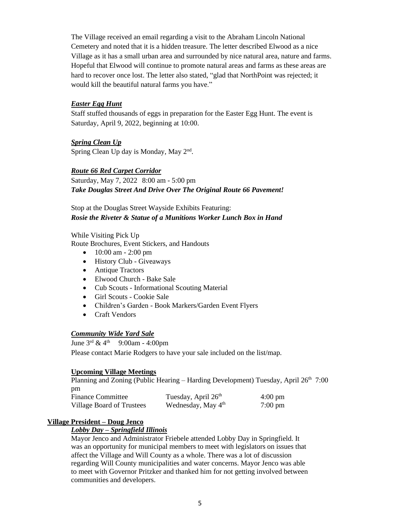The Village received an email regarding a visit to the Abraham Lincoln National Cemetery and noted that it is a hidden treasure. The letter described Elwood as a nice Village as it has a small urban area and surrounded by nice natural area, nature and farms. Hopeful that Elwood will continue to promote natural areas and farms as these areas are hard to recover once lost. The letter also stated, "glad that NorthPoint was rejected; it would kill the beautiful natural farms you have."

## *Easter Egg Hunt*

Staff stuffed thousands of eggs in preparation for the Easter Egg Hunt. The event is Saturday, April 9, 2022, beginning at 10:00.

*Spring Clean Up* Spring Clean Up day is Monday, May 2<sup>nd</sup>.

## *Route 66 Red Carpet Corridor*

Saturday, May 7, 2022 8:00 am - 5:00 pm *Take Douglas Street And Drive Over The Original Route 66 Pavement!* 

Stop at the Douglas Street Wayside Exhibits Featuring: *Rosie the Riveter & Statue of a Munitions Worker Lunch Box in Hand*

While Visiting Pick Up

Route Brochures, Event Stickers, and Handouts

- 10:00 am 2:00 pm
- History Club Giveaways
- Antique Tractors
- Elwood Church Bake Sale
- Cub Scouts Informational Scouting Material
- Girl Scouts Cookie Sale
- Children's Garden Book Markers/Garden Event Flyers
- Craft Vendors

## *Community Wide Yard Sale*

June  $3^{\text{rd}}$  &  $4^{\text{th}}$  9:00am - 4:00pm Please contact Marie Rodgers to have your sale included on the list/map.

## **Upcoming Village Meetings**

Planning and Zoning (Public Hearing – Harding Development) Tuesday, April 26<sup>th</sup> 7:00 pm

| <b>Finance Committee</b>  | Tuesday, April 26 <sup>th</sup> | $4:00 \text{ pm}$ |
|---------------------------|---------------------------------|-------------------|
| Village Board of Trustees | Wednesday, May 4 <sup>th</sup>  | $7:00 \text{ pm}$ |

## **Village President – Doug Jenco**

## *Lobby Day – Springfield Illinois*

Mayor Jenco and Administrator Friebele attended Lobby Day in Springfield. It was an opportunity for municipal members to meet with legislators on issues that affect the Village and Will County as a whole. There was a lot of discussion regarding Will County municipalities and water concerns. Mayor Jenco was able to meet with Governor Pritzker and thanked him for not getting involved between communities and developers.